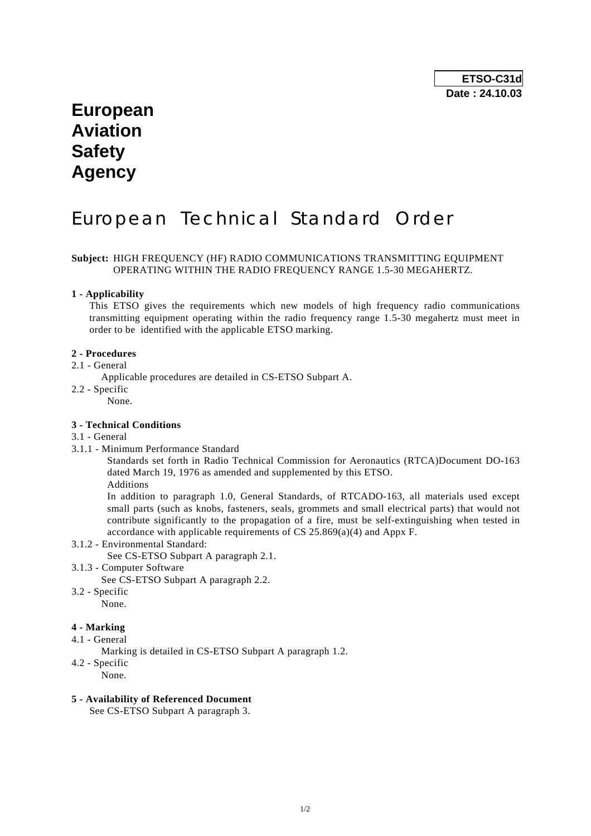# **European Aviation Safety Agency**

# European Technical Standard Order

### **Subject:** HIGH FREQUENCY (HF) RADIO COMMUNICATIONS TRANSMITTING EQUIPMENT OPERATING WITHIN THE RADIO FREQUENCY RANGE 1.5-30 MEGAHERTZ.

#### **1 - Applicability**

 This ETSO gives the requirements which new models of high frequency radio communications transmitting equipment operating within the radio frequency range 1.5-30 megahertz must meet in order to be identified with the applicable ETSO marking.

#### **2 - Procedures**

- 2.1 General
	- Applicable procedures are detailed in CS-ETSO Subpart A.
- 2.2 Specific

None.

### **3 - Technical Conditions**

#### 3.1 - General

3.1.1 - Minimum Performance Standard

 Standards set forth in Radio Technical Commission for Aeronautics (RTCA)Document DO-163 dated March 19, 1976 as amended and supplemented by this ETSO.

Additions

 In addition to paragraph 1.0, General Standards, of RTCADO-163, all materials used except small parts (such as knobs, fasteners, seals, grommets and small electrical parts) that would not contribute significantly to the propagation of a fire, must be self-extinguishing when tested in accordance with applicable requirements of CS 25.869(a)(4) and Appx F.

3.1.2 - Environmental Standard:

See CS-ETSO Subpart A paragraph 2.1.

3.1.3 - Computer Software

See CS-ETSO Subpart A paragraph 2.2.

- 3.2 Specific
- None.

## **4 - Marking**

4.1 - General

Marking is detailed in CS-ETSO Subpart A paragraph 1.2.

4.2 - Specific

None.

**5 - Availability of Referenced Document**  See CS-ETSO Subpart A paragraph 3.